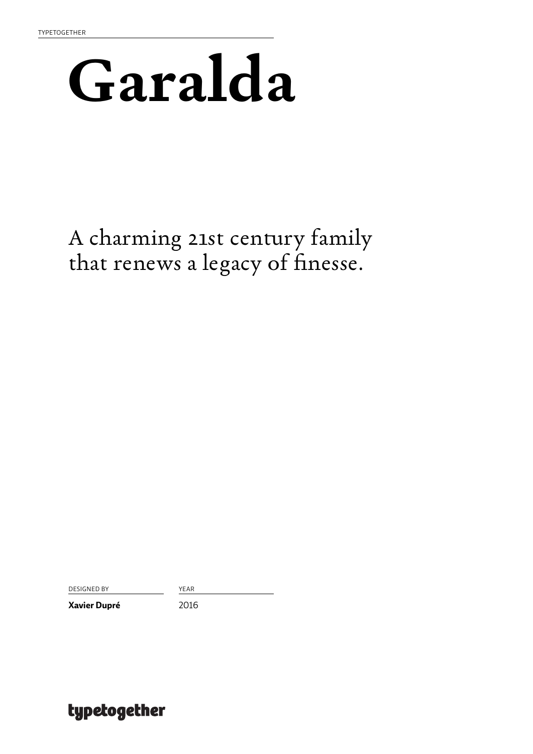### **Garalda**

A charming 21st century family that renews a legacy of finesse.

DESIGNED BY YEAR

**Xavier Dupré** 2016

### typetogether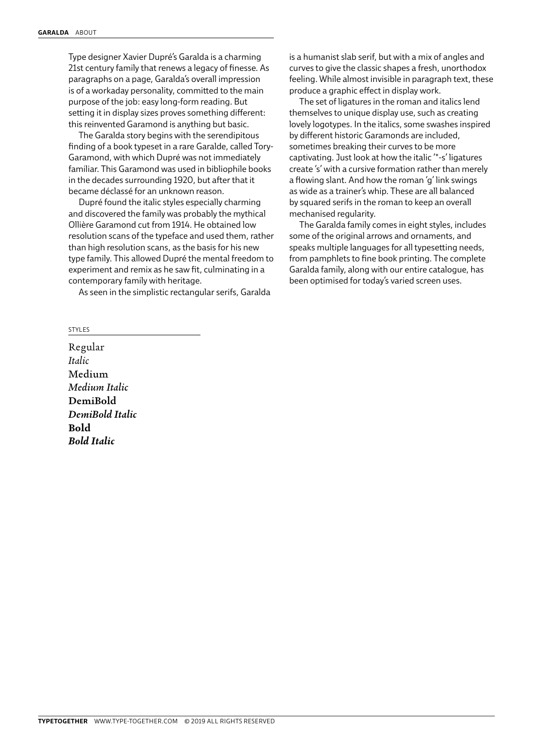Type designer Xavier Dupré's Garalda is a charming 21st century family that renews a legacy of finesse. As paragraphs on a page, Garalda's overall impression is of a workaday personality, committed to the main purpose of the job: easy long-form reading. But setting it in display sizes proves something different: this reinvented Garamond is anything but basic.

The Garalda story begins with the serendipitous finding of a book typeset in a rare Garalde, called Tory-Garamond, with which Dupré was not immediately familiar. This Garamond was used in bibliophile books in the decades surrounding 1920, but after that it became déclassé for an unknown reason.

Dupré found the italic styles especially charming and discovered the family was probably the mythical Ollière Garamond cut from 1914. He obtained low resolution scans of the typeface and used them, rather than high resolution scans, as the basis for his new type family. This allowed Dupré the mental freedom to experiment and remix as he saw fit, culminating in a contemporary family with heritage.

As seen in the simplistic rectangular serifs, Garalda

STYLES

Regular *Italic* Medium *Medium Italic* DemiBold *DemiBold Italic* **Bold** *Bold Italic*

is a humanist slab serif, but with a mix of angles and curves to give the classic shapes a fresh, unorthodox feeling. While almost invisible in paragraph text, these produce a graphic effect in display work.

The set of ligatures in the roman and italics lend themselves to unique display use, such as creating lovely logotypes. In the italics, some swashes inspired by different historic Garamonds are included, sometimes breaking their curves to be more captivating. Just look at how the italic '\*-s' ligatures create 's' with a cursive formation rather than merely a flowing slant. And how the roman 'g' link swings as wide as a trainer's whip. These are all balanced by squared serifs in the roman to keep an overall mechanised regularity.

The Garalda family comes in eight styles, includes some of the original arrows and ornaments, and speaks multiple languages for all typesetting needs, from pamphlets to fine book printing. The complete Garalda family, along with our entire catalogue, has been optimised for today's varied screen uses.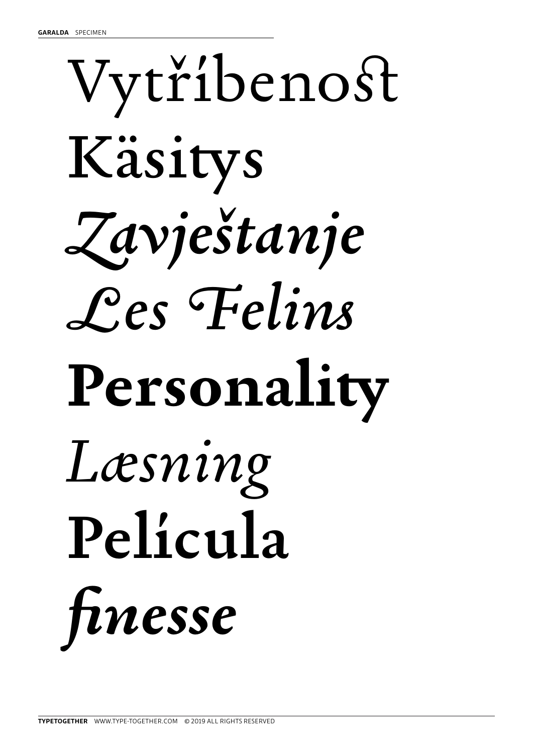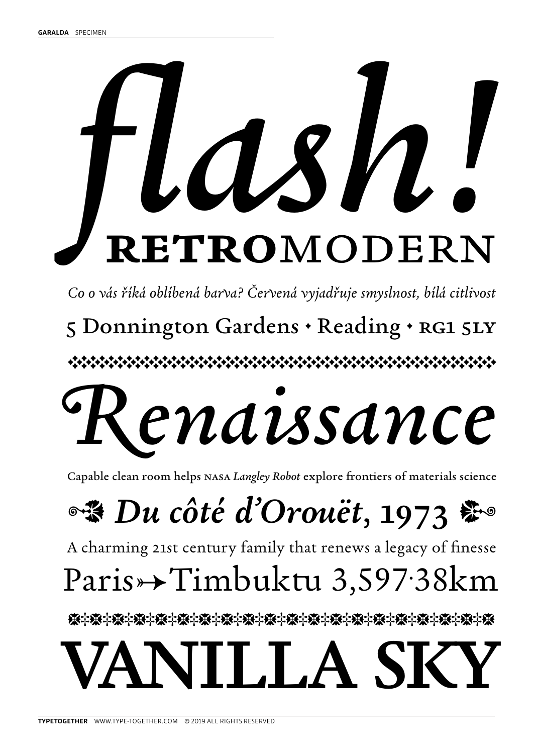# **retro**modern *flash!*

*Co o vás říká oblíbená barva? Červená vyjadřuje smyslnost, bílá citlivost*

5 Donnington Gardens . Reading . RG1 5LY

CDCDCDEDCDCDCDCDEDCDCDEDCDCDCDCDCDCDEDCDCDCDCDEDCDCDE

## *Renaissance*

Capable clean room helps nasa *Langley Robot* explore frontiers of materials science

**●※ Du côté d'Orouët, 1973 第** 

A charming 21st century family that renews a legacy of finesse

### Paris→Timbuktu 3,597.38km

**泰字<del>藤字康字康字康字康字康字康字康字康字康字康字康字康字康字康字康字康字</del>康字** 

### $\blacksquare$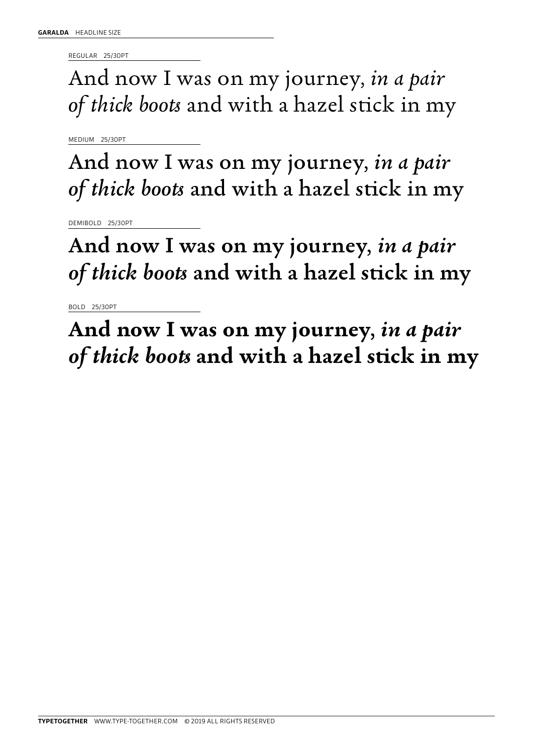REGULAR 25/30PT

And now I was on my journey, *in a pair of thick boots* and with a hazel stick in my

MEDIUM 25/30PT

And now I was on my journey, *in a pair of thick boots* and with a hazel stick in my

DEMIBOLD 25/30PT

And now I was on my journey, *in a pair of thick boots* and with a hazel stick in my

BOLD 25/30PT

**And now I was on my journey,** *in a pair of thick boots* **and with a hazel stick in my**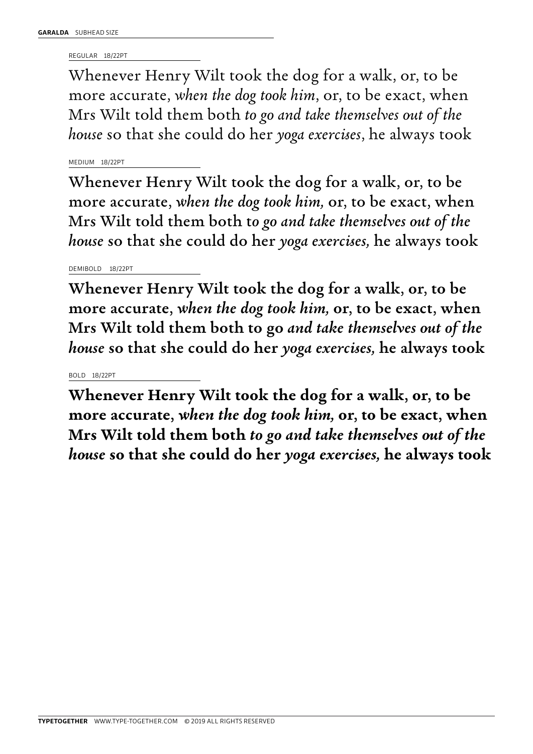REGULAR 18/22PT

Whenever Henry Wilt took the dog for a walk, or, to be more accurate, *when the dog took him*, or, to be exact, when Mrs Wilt told them both *to go and take themselves out of the house* so that she could do her *yoga exercises*, he always took

MEDIUM 18/22PT

Whenever Henry Wilt took the dog for a walk, or, to be more accurate, *when the dog took him,* or, to be exact, when Mrs Wilt told them both t*o go and take themselves out of the house* so that she could do her *yoga exercises,* he always took

DEMIBOLD 18/22PT

Whenever Henry Wilt took the dog for a walk, or, to be more accurate, *when the dog took him,* or, to be exact, when Mrs Wilt told them both to go *and take themselves out of the house* so that she could do her *yoga exercises,* he always took

### BOLD 18/22PT

**Whenever Henry Wilt took the dog for a walk, or, to be more accurate,** *when the dog took him,* **or, to be exact, when Mrs Wilt told them both** *to go and take themselves out of the house* **so that she could do her** *yoga exercises,* **he always took**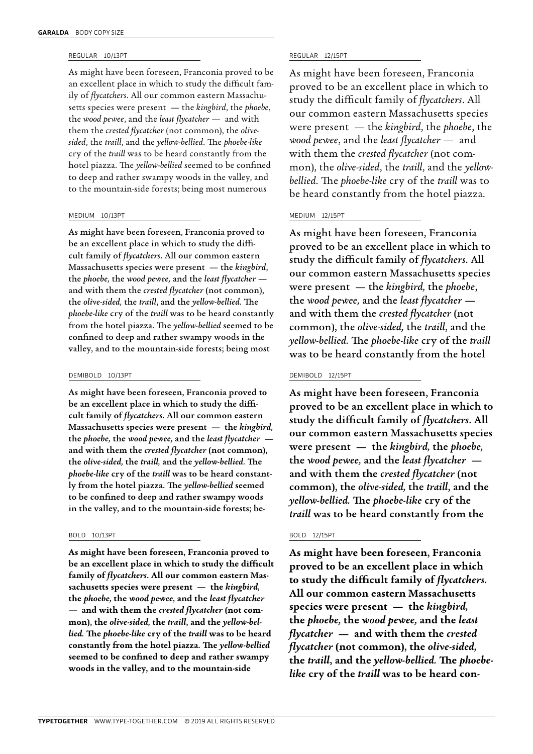### REGULAR 10/13PT

As might have been foreseen, Franconia proved to be an excellent place in which to study the difficult family of *flycatchers*. All our common eastern Massachusetts species were present — the *kingbird*, the *phoebe*, the *wood pewee*, and the *least flycatcher* — and with them the *crested flycatcher* (not common), the *olivesided*, the *traill*, and the *yellow-bellied*. The *phoebe-like* cry of the *traill* was to be heard constantly from the hotel piazza. The *yellow-bellied* seemed to be confined to deep and rather swampy woods in the valley, and to the mountain-side forests; being most numerous

### MEDIUM 10/13PT

As might have been foreseen, Franconia proved to be an excellent place in which to study the difficult family of *flycatchers*. All our common eastern Massachusetts species were present — the *kingbird*, the *phoebe,* the *wood pewee,* and the *least flycatcher* and with them the *crested flycatcher* (not common), the *olive-sided,* the *traill*, and the *yellow-bellied.* The *phoebe-like* cry of the *traill* was to be heard constantly from the hotel piazza. The *yellow-bellied* seemed to be confined to deep and rather swampy woods in the valley, and to the mountain-side forests; being most

### DEMIBOLD 10/13PT

As might have been foreseen, Franconia proved to be an excellent place in which to study the difficult family of *flycatchers*. All our common eastern Massachusetts species were present — the *kingbird,* the *phoebe,* the *wood pewee,* and the *least flycatcher* and with them the *crested flycatcher* (not common), the *olive-sided,* the *traill,* and the *yellow-bellied.* The *phoebe-like* cry of the *traill* was to be heard constantly from the hotel piazza. The *yellow-bellied* seemed to be confined to deep and rather swampy woods in the valley, and to the mountain-side forests; be-

### BOLD 10/13PT

**As might have been foreseen, Franconia proved to be an excellent place in which to study the difficult family of** *flycatchers***. All our common eastern Massachusetts species were present — the** *kingbird,* **the** *phoebe,* **the** *wood pewee,* **and the** *least flycatcher* **— and with them the** *crested flycatcher* **(not common), the** *olive-sided,* **the** *traill***, and the** *yellow-bellied.* **The** *phoebe-like* **cry of the** *traill* **was to be heard constantly from the hotel piazza. The** *yellow-bellied* **seemed to be confined to deep and rather swampy woods in the valley, and to the mountain-side** 

### REGULAR 12/15PT

As might have been foreseen, Franconia proved to be an excellent place in which to study the difficult family of *flycatchers*. All our common eastern Massachusetts species were present — the *kingbird*, the *phoebe*, the *wood pewee*, and the *least flycatcher* — and with them the *crested flycatcher* (not common), the *olive-sided*, the *traill*, and the *yellowbellied*. The *phoebe-like* cry of the *traill* was to be heard constantly from the hotel piazza.

### MEDIUM 12/15PT

As might have been foreseen, Franconia proved to be an excellent place in which to study the difficult family of *flycatchers*. All our common eastern Massachusetts species were present — the *kingbird,* the *phoebe*, the *wood pewee,* and the *least flycatcher* and with them the *crested flycatcher* (not common), the *olive-sided,* the *traill*, and the *yellow-bellied.* The *phoebe-like* cry of the *traill* was to be heard constantly from the hotel

### DEMIBOLD 12/15PT

As might have been foreseen, Franconia proved to be an excellent place in which to study the difficult family of *flycatchers*. All our common eastern Massachusetts species were present — the *kingbird,* the *phoebe,*  the *wood pewee,* and the *least flycatcher* and with them the *crested flycatcher* (not common), the *olive-sided,* the *traill*, and the *yellow-bellied.* The *phoebe-like* cry of the *traill* was to be heard constantly from the

### BOLD 12/15PT

**As might have been foreseen, Franconia proved to be an excellent place in which to study the difficult family of** *flycatchers.* **All our common eastern Massachusetts species were present — the** *kingbird,* **the** *phoebe,* **the** *wood pewee,* **and the** *least flycatcher* **— and with them the** *crested flycatcher* **(not common), the** *olive-sided,* **the** *traill***, and the** *yellow-bellied.* **The** *phoebelike* **cry of the** *traill* **was to be heard con-**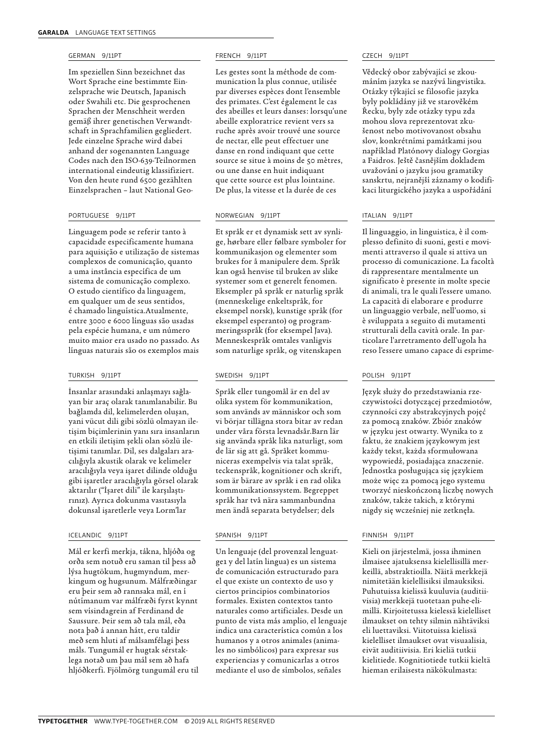### GERMAN 9/11PT

Im speziellen Sinn bezeichnet das Wort Sprache eine bestimmte Einzelsprache wie Deutsch, Japanisch oder Swahili etc. Die gesprochenen Sprachen der Menschheit werden gemäß ihrer genetischen Verwandtschaft in Sprachfamilien gegliedert. Jede einzelne Sprache wird dabei anhand der sogenannten Language Codes nach den ISO-639-Teilnormen international eindeutig klassifiziert. Von den heute rund 6500 gezählten Einzelsprachen – laut National Geo-

### PORTUGUESE 9/11PT

Linguagem pode se referir tanto à capacidade especificamente humana para aquisição e utilização de sistemas complexos de comunicação, quanto a uma instância específica de um sistema de comunicação complexo. O estudo científico da linguagem, em qualquer um de seus sentidos, é chamado linguística.Atualmente, entre 3000 e 6000 línguas são usadas pela espécie humana, e um número muito maior era usado no passado. As línguas naturais são os exemplos mais

### TURKISH 9/11PT

İnsanlar arasındaki anlaşmayı sağlayan bir araç olarak tanımlanabilir. Bu bağlamda dil, kelimelerden oluşan, yani vücut dili gibi sözlü olmayan iletişim biçimlerinin yanı sıra insanların en etkili iletişim şekli olan sözlü iletişimi tanımlar. Dil, ses dalgaları aracılığıyla akustik olarak ve kelimeler aracılığıyla veya işaret dilinde olduğu gibi işaretler aracılığıyla görsel olarak aktarılır ("İşaret dili" ile karşılaştırınız). Ayrıca dokunma vasıtasıyla dokunsal işaretlerle veya Lorm'lar

### ICELANDIC 9/11PT

Mál er kerfi merkja, tákna, hljóða og orða sem notuð eru saman til þess að lýsa hugtökum, hugmyndum, merkingum og hugsunum. Málfræðingar eru þeir sem að rannsaka mál, en í nútímanum var málfræði fyrst kynnt sem vísindagrein af Ferdinand de Saussure. Þeir sem að tala mál, eða nota það á annan hátt, eru taldir með sem hluti af málsamfélagi þess máls. Tungumál er hugtak sérstaklega notað um þau mál sem að hafa hljóðkerfi. Fjölmörg tungumál eru til

### FRENCH 9/11PT

Les gestes sont la méthode de communication la plus connue, utilisée par diverses espèces dont l'ensemble des primates. C'est également le cas des abeilles et leurs danses : lorsqu'une abeille exploratrice revient vers sa ruche après avoir trouvé une source de nectar, elle peut effectuer une danse en rond indiquant que cette source se situe à moins de 50 mètres, ou une danse en huit indiquant que cette source est plus lointaine. De plus, la vitesse et la durée de ces

### NORWEGIAN 9/11PT

Et språk er et dynamisk sett av synlige, hørbare eller følbare symboler for kommunikasjon og elementer som brukes for å manipulere dem. Språk kan også henvise til bruken av slike systemer som et generelt fenomen. Eksempler på språk er naturlig språk (menneskelige enkeltspråk, for eksempel norsk), kunstige språk (for eksempel esperanto) og programmeringsspråk (for eksempel Java). Menneskespråk omtales vanligvis som naturlige språk, og vitenskapen

### SWEDISH 9/11PT

Språk eller tungomål är en del av olika system för kommunikation, som används av människor och som vi börjar tillägna stora bitar av redan under våra första levnadsår.Barn lär sig använda språk lika naturligt, som de lär sig att gå. Språket kommuniceras exempelvis via talat språk, teckenspråk, kognitioner och skrift, som är bärare av språk i en rad olika kommunikationssystem. Begreppet språk har två nära sammanbundna men ändå separata betydelser; dels

### SPANISH 9/11PT

Un lenguaje (del provenzal lenguatge1 y del latín lingua) es un sistema de comunicación estructurado para el que existe un contexto de uso y ciertos principios combinatorios formales. Existen contextos tanto naturales como artificiales. Desde un punto de vista más amplio, el lenguaje indica una característica común a los humanos y a otros animales (animales no simbólicos) para expresar sus experiencias y comunicarlas a otros mediante el uso de símbolos, señales

### CZECH 9/11PT

Vědecký obor zabývající se zkoumáním jazyka se nazývá lingvistika. Otázky týkající se filosofie jazyka byly pokládány již ve starověkém Řecku, byly zde otázky typu zda mohou slova reprezentovat zkušenost nebo motivovanost obsahu slov, konkrétními památkami jsou například Platónovy dialogy Gorgias a Faidros. Ještě časnějším dokladem uvažování o jazyku jsou gramatiky sanskrtu, nejranější záznamy o kodifikaci liturgického jazyka a uspořádání

### ITALIAN 9/11PT

Il linguaggio, in linguistica, è il complesso definito di suoni, gesti e movimenti attraverso il quale si attiva un processo di comunicazione. La facoltà di rappresentare mentalmente un significato è presente in molte specie di animali, tra le quali l'essere umano. La capacità di elaborare e produrre un linguaggio verbale, nell'uomo, si è sviluppata a seguito di mutamenti strutturali della cavità orale. In particolare l'arretramento dell'ugola ha reso l'essere umano capace di esprime-

### POLISH 9/11PT

Język służy do przedstawiania rzeczywistości dotyczącej przedmiotów, czynności czy abstrakcyjnych pojęć za pomocą znaków. Zbiór znaków w języku jest otwarty. Wynika to z faktu, że znakiem językowym jest każdy tekst, każda sformułowana wypowiedź, posiadająca znaczenie. Jednostka posługująca się językiem może więc za pomocą jego systemu tworzyć nieskończoną liczbę nowych znaków, także takich, z którymi nigdy się wcześniej nie zetknęła.

### FINNISH 9/11PT

Kieli on järjestelmä, jossa ihminen ilmaisee ajatuksensa kielellisillä merkeillä, abstraktioilla. Näitä merkkejä nimitetään kielellisiksi ilmauksiksi. Puhutuissa kielissä kuuluvia (auditiivisia) merkkejä tuotetaan puhe-elimillä. Kirjoitetussa kielessä kielelliset ilmaukset on tehty silmin nähtäviksi eli luettaviksi. Viitotuissa kielissä kielelliset ilmaukset ovat visuaalisia, eivät auditiivisia. Eri kieliä tutkii kielitiede. Kognitiotiede tutkii kieltä hieman erilaisesta näkökulmasta: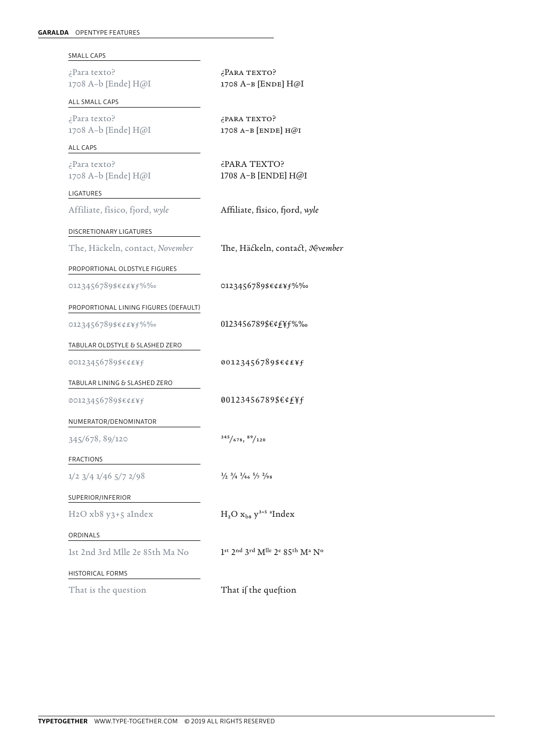| SMALL CAPS                            |                                                                       |
|---------------------------------------|-----------------------------------------------------------------------|
| ¿Para texto?<br>1708 A-b [Ende] H@I   | ¿PARA TEXTO?<br>1708 А-в [ENDE] H@I                                   |
| ALL SMALL CAPS                        |                                                                       |
| ¿Para texto?<br>1708 A-b [Ende] H@I   | ¿PARA TEXTO?<br>1708 A-B [ENDE] H@I                                   |
| ALL CAPS                              |                                                                       |
| ¿Para texto?<br>1708 A-b [Ende] H@I   | ¿PARA TEXTO?<br>1708 A-B [ENDE] H@I                                   |
| LIGATURES                             |                                                                       |
| Affiliate, físico, fjord, wyle        | Affiliate, físico, fjord, wyle                                        |
| DISCRETIONARY LIGATURES               |                                                                       |
| The, Häckeln, contact, November       | The, Häckeln, contact, Nevember                                       |
| PROPORTIONAL OLDSTYLE FIGURES         |                                                                       |
| 0123456789\$€¢£¥f%%o                  | 0123456789\$€¢£¥f%‰                                                   |
| PROPORTIONAL LINING FIGURES (DEFAULT) |                                                                       |
| 0123456789\$€¢£¥f%‰                   | 0123456789\$€¢£¥f%‰                                                   |
| TABULAR OLDSTYLE & SLASHED ZERO       |                                                                       |
| 00123456789\$€¢£¥f                    | 00123456789\$€¢£¥f                                                    |
| TABULAR LINING & SLASHED ZERO         |                                                                       |
| 00123456789\$€¢£¥f                    | 00123456789\$€¢£¥f                                                    |
| NUMERATOR/DENOMINATOR                 |                                                                       |
| 345/678, 89/120                       | 345/678, 89/120                                                       |
| <b>FRACTIONS</b>                      |                                                                       |
| $1/2$ $3/4$ $1/46$ $5/7$ $2/98$       | $\frac{1}{2}$ $\frac{3}{4}$ $\frac{1}{4}$ $\frac{5}{7}$ $\frac{2}{9}$ |
| SUPERIOR/INFERIOR                     |                                                                       |
| H2O xb8 y3+5 aIndex                   | $H_2O$ $x_{bs}$ $y^{3+5}$ <sup>a</sup> Index                          |
| ORDINALS                              |                                                                       |
| 1st 2nd 3rd Mlle 2e 85th Ma No        | 1st 2nd 3rd Mlle 2e 85th Ma No                                        |
| <b>HISTORICAL FORMS</b>               |                                                                       |
| That is the question                  | That if the queftion                                                  |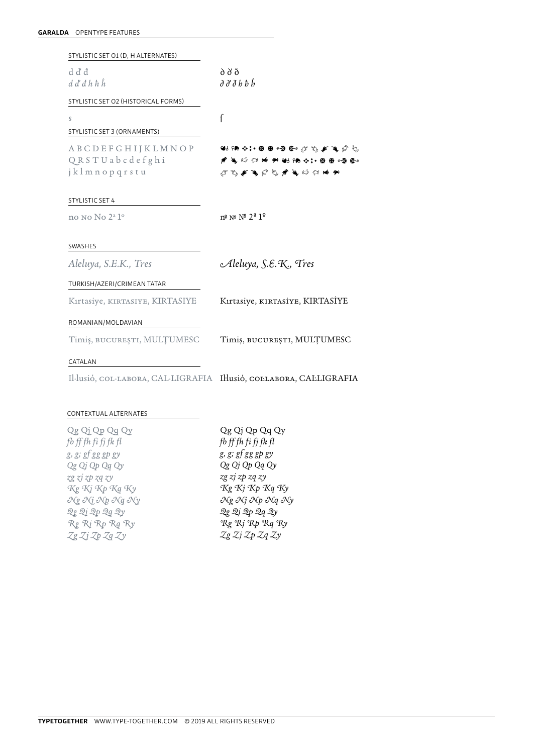| STYLISTIC SET O1 (D, H ALTERNATES)                                  |                                                                                                                                      |
|---------------------------------------------------------------------|--------------------------------------------------------------------------------------------------------------------------------------|
| d ď đ                                                               | d d'ð                                                                                                                                |
| $d\, d\, d\, h\, h\, h$                                             | るみるりりり                                                                                                                               |
| STYLISTIC SET O2 (HISTORICAL FORMS)                                 |                                                                                                                                      |
| S                                                                   |                                                                                                                                      |
| STYLISTIC SET 3 (ORNAMENTS)                                         |                                                                                                                                      |
| <b>ABCDEFGHIJKLMNOP</b>                                             | 45 58 41 + 数量 慢 备 过 飞 厂 飞 广 气                                                                                                        |
| QRSTUabcdefghi                                                      |                                                                                                                                      |
| jklmnopqrstu                                                        | $\mathcal{F} \cup \mathcal{F} \cup \mathcal{F} \cup \mathcal{F} \cup \mathcal{F} \cup \mathcal{F} \cup \mathcal{F} \cup \mathcal{F}$ |
| <b>STYLISTIC SET 4</b>                                              |                                                                                                                                      |
| no No No 2 <sup>a</sup> 1 <sup>o</sup>                              | $n^{\circ}$ N° $N^{\circ}$ $2^{\circ}$ $1^{\circ}$                                                                                   |
|                                                                     |                                                                                                                                      |
| <b>SWASHES</b>                                                      |                                                                                                                                      |
| Aleluya, S.E.K., Tres                                               | Aleluya, S.E.K., Tres                                                                                                                |
| TURKISH/AZERI/CRIMEAN TATAR                                         |                                                                                                                                      |
| Kirtasiye, KIRTASIYE, KIRTASIYE                                     | Kırtasiye, KIRTASİYE, KIRTASİYE                                                                                                      |
| ROMANIAN/MOLDAVIAN                                                  |                                                                                                                                      |
| Timiș, BUCUREȘTI, MULȚUMESC                                         | Timiș, BUCUREȘTI, MULȚUMESC                                                                                                          |
| CATALAN                                                             |                                                                                                                                      |
| Il·lusió, COL·LABORA, CAL·LIGRAFIA Il·lusió, COLLABORA, CALLIGRAFIA |                                                                                                                                      |
|                                                                     |                                                                                                                                      |

### CONTEXTUAL ALTERNATES

| Qg Qj Qp Qg Qy       |
|----------------------|
| fb ff fh fi fj fk fl |
| g, g; gf gg gp gy    |
| Qg Qj Qp Qq Qy       |
| zg zj zp zq zy       |
| Kg Kj Kp Kq Ky       |
| Ng Nj Np Ng Ny       |
| Qg Qj Qp Qg Qy       |
| Rg Rj Rp Rg Ry       |
| Zg Zj Zp Zg Zy       |
|                      |

Qg Qj Qp Qq Qy *fb ff fh fi fj fk fl g, g; gf gg gp gy Qg Qj Qp Qq Qy zg zj zp zq zy Kg Kj Kp Kq Ky Ng Nj Np Nq Ny Qg Qj Qp Qq Qy Rg Rj Rp Rq Ry Zg Zj Zp Zq Zy*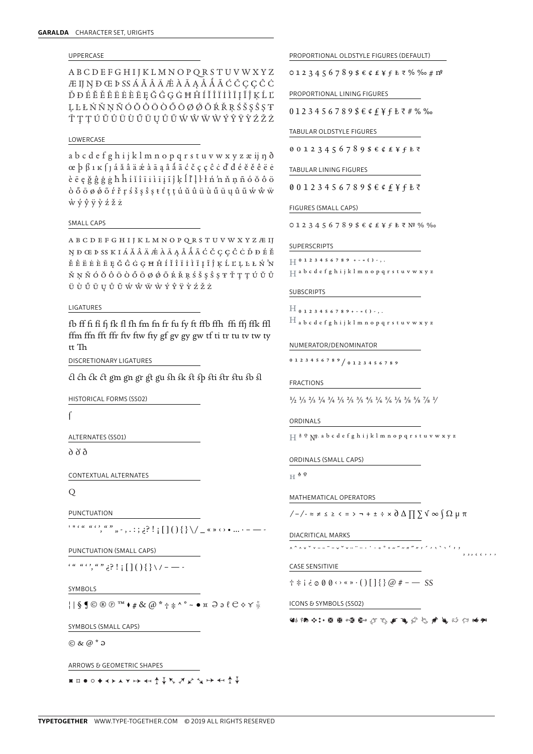### **UPPERCASE**

**ABCDEFGHIJKLMNOPQRSTUVWXYZ** Æ IJ N Ð Œ Þ SS Á Ă Â Ä Æ À Ā Ą Å Å Á à Ć Č Ç Ç Ĉ Ċ ĎĐÉĔĚÊËĖÈĒĘĞĜĢĠĦĤÍĬĨĨĬĨĪĨĴĶĹĽ LLŁŃŇNÑÓŎÔÔÒŐŌØØŐŔŘRŚŠSŜST ŤŢŢÚŬŨŨÙŨŨŪŲŮŨŴŴŴŴÝŶŸŶŹŽŻ

### LOWERCASE

abcdefghijklmnopqrstuvwxyzæijnð  $\alpha$  b  $\beta$  1 k  $\beta$  j á ă â  $\ddot{a}$  ä  $\ddot{a}$  à  $\ddot{a}$  a  $\ddot{a}$  a  $\ddot{a}$   $\ddot{c}$   $\ddot{c}$  c  $\ddot{c}$  c  $\ddot{c}$  d' d  $\dot{e}$   $\ddot{e}$   $\ddot{e}$   $\ddot{e}$   $\ddot{e}$   $\ddot{e}$   $\ddot{e}$   $\ddot{e}$   $\ddot{e}$   $\ddot{e}$   $\ddot{$ èē ę ğ ĝ ģ ġ ħ ĥ í ǐ î î i ì ī į ĩ ĵ ķ l ľ ļ ŀ ł ń 'n ň ņ ñ ó ŏ ô ö  $\dot{\phi} \ddot{\phi} \ddot{\phi} \ddot{\phi} \ddot{\phi} \ddot{\phi} \dot{\phi} \ddot{\phi} \ddot{\phi} \ddot{\phi} \dot{\phi} \ddot{\phi} \ddot{\phi} \ddot{\phi} \ddot{\phi} \ddot{\phi} \ddot{\phi} \ddot{\phi} \ddot{\phi} \ddot{\phi} \ddot{\phi} \ddot{\phi} \ddot{\phi} \ddot{\phi} \ddot{\phi} \ddot{\phi} \ddot{\phi} \ddot{\phi} \ddot{\phi} \ddot{\phi} \ddot{\phi} \ddot{\phi} \ddot{\phi} \ddot{\phi} \ddot{\phi} \ddot{\phi} \ddot{\phi} \$  $\dot{w}$   $\dot{y}$   $\dot{y}$   $\dot{y}$   $\dot{y}$   $\dot{z}$   $\dot{z}$   $\dot{z}$ 

### SMALL CAPS

 $\mathtt{A}\ \mathtt{B}\ \mathtt{C}\ \mathtt{D}\ \mathtt{E}\ \mathtt{F}\ \mathtt{G}\ \mathtt{H}\ \mathtt{I}\ \mathtt{J}\ \mathtt{K}\ \mathtt{L}\ \mathtt{M}\ \mathtt{N}\ \mathtt{O}\ \mathtt{P}\ \mathtt{Q}\ \mathtt{R}\ \mathtt{S}\ \mathtt{T}\ \mathtt{U}\ \mathtt{V}\ \mathtt{W}\ \mathtt{X}\ \mathtt{Y}\ \mathtt{Z}\ \mathtt{A}\ \mathtt{I}\ \mathtt{J}$ NĐŒĐSSKIÁĂÂÄÆÀĀĄÅÅÃĆČÇÇĈĊĎĐÉĔ ĚÊËĖÈĒĘĞĜĠĢĦĤÍĬĨĨĨĨĪĨĴĶĹĽĻĿŁŃ'N ŇŅÑÓŎÔÖÒŐŌØØÕŔŘŖŚŠŞŜŞŦŤŢŢÚŬÛ  $\ddot{\mathtt{U}}\;\dot{\mathtt{U}}\;\ddot{\mathtt{U}}\;\ddot{\mathtt{U}}\;\ddot{\mathtt{U}}\;\ddot{\mathtt{U}}\;\ddot{\mathtt{W}}\;\ddot{\mathtt{W}}\;\ddot{\mathtt{W}}\;\ddot{\mathtt{W}}\;\dot{\mathtt{Y}}\;\dot{\mathtt{Y}}\;\ddot{\mathtt{Y}}\;\dot{\mathtt{Y}}\;\ddot{\mathtt{Z}}\;\ddot{\mathtt{Z}}\;\ddot{\mathtt{Z}}\;$ 

### **LIGATURES**

fb ff fi fi fi fk fl fh fm fn fr fu fy ft ffb ffh ffi ffj ffk ffl ffm ffn fft ffr ftv ftw fty gf gv gy gw tf ti tr tu tv tw ty  $tt$ Th

DISCRETIONARY LIGATURES

ch ch ck ct gm gn gr gt gu sh sk st sp sti str stu sb sl

HISTORICAL FORMS (SSO2)

 $\int$ 

ALTERNATES (SSO1)

 $\delta$   $\delta$ 

CONTEXTUAL ALTERNATES

Q

PUNCTUATION

PUNCTUATION (SMALL CAPS)

 $\left( \begin{array}{c} a & a & c \\ c & a & c \end{array} \right)$ ,  $\left( \begin{array}{c} a & b \\ c & c \end{array} \right)$ ,  $\left( \begin{array}{c} a & b \\ c & c \end{array} \right)$ ,  $\left( \begin{array}{c} a & b \\ c & c \end{array} \right)$ 

SYMBOLS

 $||\S \mathbf{S} \odot \mathbf{D} \odot \mathbf{D}^{TM} \bullet \# \& \ (\partial \mathbf{A}^* + \mathbf{B}^* \mathbf{A}^* \bullet \mathbf{A}^* \mathbf{A}^* \mathbf{A}^* \mathbf{A}^* \mathbf{A}^* \mathbf{A}^* \mathbf{A}^* \mathbf{A}^* \mathbf{A}^* \mathbf{A}^* \mathbf{A}^* \mathbf{A}^* \mathbf{A}^* \mathbf{A}^* \mathbf{A}^* \mathbf{A}^* \mathbf{A}^* \mathbf{A}^* \mathbf{A}^* \math$ 

SYMBOLS (SMALL CAPS)

 $\odot$  &  $\odot$  \*  $\odot$ 

ARROWS & GEOMETRIC SHAPES

■□●○◆≺≻▲▼↣ ←←↑↓ጜ ブジ ゚゙゚゚゚゚ゕ ←←↑↓

PROPORTIONAL OLDSTYLE FIGURES (DEFAULT)

PROPORTIONAL LINING FIGURES

 $0123456789$ \$ $64$ £¥fŁ₹#%%

TABULAR OLDSTYLE FIGURES

00123456789\$€¢£¥f₺₹

TABULAR LINING FIGURES

00123456789\$€¢£¥fŁ₹

FIGURES (SMALL CAPS)

 $0123456789$ \$  $6$   $6$   $2$   $4$   $5$   $7$   $8$   $9$   $9$   $6$   $6$   $2$   $6$   $2$   $4$   $5$   $6$   $7$   $8$   $9$   $6$   $8$   $9$   $9$   $9$   $9$ 

SUPERSCRIPTS

 $\begin{array}{c} \begin{array}{c} \begin{array}{c} \end{array} \end{array} \begin{array}{c} 0 & 1 & 2 & 3 & 4 & 5 & 6 & 7 & 8 & 9 & + - = 0 \\ \end{array} \end{array} \begin{array}{c} \end{array} \begin{array}{c} \end{array} \begin{array}{c} \end{array} \end{array} \begin{array}{c} \end{array} \begin{array}{c} \end{array} \begin{array}{c} \end{array} \begin{array}{c} \end{array} \end{array} \begin{array}{c} \end{array} \begin{array}{c} \end{array} \begin{array}{c} \end{array} \begin{array}{c$ 

 $\Box$  a b c d e f g h i j k l m n o p q r s t u v w x y z

**SUBSCRIPTS** 

 $H_{0123456789+-}$  ( ) - , .  $H$  a b c d e f g h i j k l m n o p q r s t u v w x y z

NUMERATOR/DENOMINATOR

0 1 2 3 4 5 6 7 8 9 / 0 1 2 3 4 5 6 7 8 9

**FRACTIONS** 

 $\frac{1}{2}$   $\frac{1}{3}$   $\frac{1}{3}$   $\frac{1}{4}$   $\frac{3}{4}$   $\frac{1}{5}$   $\frac{2}{5}$   $\frac{3}{5}$   $\frac{4}{5}$   $\frac{1}{6}$   $\frac{5}{6}$   $\frac{1}{8}$   $\frac{3}{8}$   $\frac{5}{8}$   $\frac{7}{8}$   $\frac{1}{8}$ 

ORDINALS

 $\mathbb{H}$  <sup>a o</sup>  $\mathbb{N}^{\mathsf{D}}$  a b c d e f g h i j k l m n o p q r s t u v w x y z

ORDINALS (SMALL CAPS)

 $H$   $^{\underline{A}~\underline{O}}$ 

MATHEMATICAL OPERATORS

 $\sqrt{-1}$   $\leq$   $\leq$   $\leq$   $\leq$   $\leq$   $\geq$   $\sim$   $\rightarrow$   $+$   $\pm$   $\div$   $\times$   $\partial$   $\triangle$   $\prod$   $\sum$   $\sqrt{\infty}$   $\int$   $\Omega$   $\mu$   $\pi$ 

DIACRITICAL MARKS

**CASE SENSITIVIE** 

 $\uparrow \dot{\uparrow}$  i i  $\phi \circ \phi \circ \cdots$  () [] { }  $\omega \neq -$  SS

ICONS & SYMBOLS (SSO2)

出场中:接受自己产生了了。

 $\cdots$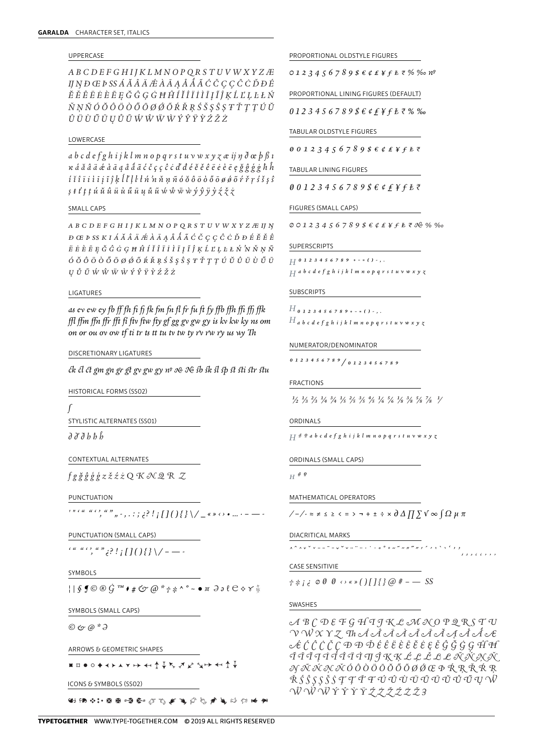### **UPPERCASE**

ABCDEFGHIJKLMNOPQRSTUVWXYZÆ IJNĐŒÞSSÁĂÂÄÆÀĀĄÅÅÃĆČÇÇĈĊĎĐÉ  $\check{E}\check{E}\hat{E}\check{E}\check{E}\check{E}\check{E}\check{E}\check{E}\check{G}\check{G}\check{G}\check{H}\hat{H}\check{I}\check{I}\check{I}\check{I}\check{I}\check{I}\check{I}\check{I}\check{I}\check{K}\check{L}\check{L}\check{L}\check{L}\check{K}$ ŇNÑÓŎÔÖÒŐŌØØŐŔŘRŚŠSŜSŦŤTTÚŬ  $\hat{U} \ddot{U} \dot{U} \ddot{U} \ddot{U} U \ddot{U} \ddot{U} \dot{W} \dot{W} \ddot{W} \dot{W} \dot{Y} \dot{Y} \ddot{Y} \dot{Y} \dot{Z} \dot{Z} \dot{Z}$ 

### LOWERCASE

a b c d e f g h i j k l m n o p q r s t u v w x y z æ ij  $\eta$  d œ  $\beta$  ß  $\iota$  $\kappa$  á ă â ä æ à ā ą å å ã ć č ç ç ĉ ċ ď đ é ĕ ě ě ë è è ē ę ğ ĝ ģ ġ ħ ĥ  $i$  î î î i i i  $j$  î  $j$  ķ  $l$   $l'$   $l$   $l$   $t$   $\acute{n}$   $\acute{n}$   $\acute{n}$   $\acute{n}$   $\acute{o}$   $\acute{o}$   $\acute{o}$   $\acute{o}$   $\acute{o}$   $\acute{o}$   $\acute{o}$   $\acute{o}$   $\acute{o}$   $\acute{r}$   $\acute{r}$   $\acute{r}$   $\acute{s}$   $\acute{s}$   $\acute{s}$  $s$   $t$   $t$   $t$   $t$   $t$   $u$   $\tilde{u}$   $\tilde{u}$   $\tilde{u}$   $\tilde{u}$   $\tilde{u}$   $\tilde{u}$   $\tilde{u}$   $\tilde{w}$   $\tilde{w}$   $\tilde{w}$   $\tilde{v}$   $\tilde{y}$   $\tilde{y}$   $\tilde{y}$   $\tilde{z}$   $\tilde{z}$   $\tilde{z}$ 

### SMALL CAPS

A B C D E F G H I J K L M N O P Q R S T U V W X Y Z Æ IJ N **ĐŒ ÞSS KIÁ Ă Ä ǼÀ Ā Ą Å Å Ã Ć Č Ç Ç Ĉ Ċ Ď Đ É Ĕ Ě Ê**  $\ddot{E} \; \dot{E} \; \dot{E} \; \ddot{E} \; \ddot{E} \; \ddot{G} \; \dot{G} \; \dot{G} \; \dot{G} \; H \; \dot{H} \; \dot{I} \; \ddot{I} \; \ddot{I} \; \ddot{I} \; \dot{I} \; \ddot{I} \; \ddot{I} \; \ddot{I} \; \ddot{I} \; \ddot{I} \; \ddot{I} \; \ddot{I} \; \ddot{I} \; \ddot{I} \; \ddot{I} \; \ddot{I} \; \ddot{I} \; \dot{I} \; \dot$  $\acute{o} \, \grave{o} \, \acute{o} \, \grave{o} \, \grave{o} \, \acute{o} \, \acute{o} \, \acute{o} \, \acute{o} \, \acute{o} \, \acute{o} \, \acute{e} \, \grave{\kappa} \, \acute{\kappa} \, \acute{\kappa} \, \acute{\kappa} \, \acute{\kappa} \, \acute{\kappa} \, \acute{\kappa} \, \acute{\kappa} \, \acute{\kappa} \, \acute{\kappa} \, \acute{\kappa} \, \acute{\kappa} \, \acute{\kappa} \, \acute{\kappa} \, \acute{\kappa} \, \acute{\kappa} \, \acute{\kappa} \, \acute{\kappa} \, \acute{\$  $U \stackrel{a}{U} \tilde{U} \stackrel{c}{W} \hat{W} \stackrel{c}{W} \hat{W} \stackrel{c}{Y} \hat{Y} \stackrel{c}{Y} \hat{Y} \stackrel{c}{Z} \hat{Z}$ 

### LIGATURES

as evew ey fb ff fh fi fi fk fm fn fl fr fu ft fy ffb ffh ffi ffi ffk ffl ffm ffn ffr fft fi ftv ftw fty gf gg gv gw gy is kv kw ky ns om on or ou ov ow tf ti tr ts tt tu tv tw ty rv rw ry us wy Th

### DISCRETIONARY LIGATURES

ck cl ct gm gn gr gt gv gw gy nº x N sb sk sl sp st sti str stu

**HISTORICAL FORMS (SSO2)** 

STYLISTIC ALTERNATES (SSO1)

 $\partial \partial \partial b$ 

CONTEXTUAL ALTERNATES

 $fg\check{g}\check{g}\check{g}\check{g}z\check{z}\check{z}z\mathbf{Q}\mathbf{K}\mathcal{NQ}\mathbf{R}$  Z

**PUNCTUATION** 

 $\frac{1}{2}$  ,  $\frac{1}{2}$  ,  $\frac{1}{2}$  ,  $\frac{1}{2}$  ,  $\frac{1}{2}$  ,  $\frac{1}{2}$  ,  $\frac{1}{2}$  ,  $\frac{1}{2}$  ,  $\frac{1}{2}$  ,  $\frac{1}{2}$  ,  $\frac{1}{2}$  ,  $\frac{1}{2}$  ,  $\frac{1}{2}$  ,  $\frac{1}{2}$  ,  $\frac{1}{2}$  ,  $\frac{1}{2}$  ,  $\frac{1}{2}$  ,  $\frac{1}{2}$  ,  $\frac{1$ 

PUNCTUATION (SMALL CAPS)

SYMBOLS

 $||\S \mathbf{J} \odot \mathbf{B} \dot{G}^{\mathit{TM}} \bullet \# \mathbf{C}^{\prime} \omega \ast \gamma \neq \wedge \circ - \bullet \times \partial \circ \ell \mathbf{C} \diamond \gamma \times \mathbf{C}$ 

SYMBOLS (SMALL CAPS)

 $©C$   $@$   $*$   $\partial$ 

ARROWS & GEOMETRIC SHAPES

**■□●○◆≺▶▲▼→→ ←←↑↓↖ ヌ ∠ ゝ→ ←←↑↓** 

ICONS & SYMBOLS (SSO2)

出场中:接受呼称过了声号自觉广告的中央

 $0123456789866444488\%$ 

PROPORTIONAL LINING FIGURES (DEFAULT)

0123456789\$€¢£¥f₺₹%‰

TABULAR OLDSTYLE FIGURES

 $001234567898666$ 

TABULAR LINING FIGURES

 $0012345678986$   $6$   $f$   $f$   $f$   $f$ 

FIGURES (SMALL CAPS)

 $0012345678986$ <br> $\ell \ell \ell \ell \ell \ell \ell \ell \ell \ell$ 

SUPERSCRIPTS

 $\begin{array}{ccc} & 0 & 1 & 2 & 3 & 4 & 5 & 6 & 7 & 8 & 9 & + - & = & 0 & - & , \end{array}$  $\Box$ a b c d e f g h i j k l m n o p q r s t u v w x y z

**SUBSCRIPTS** 

 $H$ <sub>0</sub> 1 2 3 4 5 6 7 8 9 + - = ( ) - , .  $H$  a b c d e f g h i j k l m n o p q r s t u v w x y  $_{\rm X}$ 

NUMERATOR/DENOMINATOR

0 1 2 3 4 5 6 7 8 9 / 0 1 2 3 4 5 6 7 8 9

**FRACTIONS** 

 $\frac{1}{2}$   $\frac{1}{3}$   $\frac{2}{3}$   $\frac{1}{4}$   $\frac{3}{4}$   $\frac{1}{5}$   $\frac{2}{5}$   $\frac{3}{5}$   $\frac{4}{5}$   $\frac{1}{6}$   $\frac{5}{6}$   $\frac{1}{8}$   $\frac{3}{8}$   $\frac{5}{8}$   $\frac{7}{8}$   $\frac{1}{4}$ 

### ORDINALS

```
H \frac{d}{d} \frac{d}{d} a b c d e f g h i j k l m n o p q r s t u v w x y \zeta
```
ORDINALS (SMALL CAPS)

 $H \overset{d}{=} 0$ 

MATHEMATICAL OPERATORS

**DIACRITICAL MARKS** 

CASE SENSITIVIE

 $\tau * i \in \emptyset \emptyset \emptyset \rightsquigarrow \{0\}$   $[1]$  { }  $\emptyset \neq -$  SS

### **SWASHES**

 $\mathcal{A}\mathcal{B}\mathcal{C}\mathcal{D}\mathcal{E}\mathcal{F}\mathcal{G}\mathcal{H}\mathcal{I}\mathcal{J}\mathcal{K}\mathcal{L}\mathcal{M}\mathcal{N}\mathcal{O}\mathcal{P}\mathcal{Q}\mathcal{R}\mathcal{S}\mathcal{I}\mathcal{V}$ V W X Y Z Th Á Â Ä À À Ă Ă Ă A Å Å Æ  $\mathcal{A} \not\hat{\mathcal{C}} \mathcal{L} \mathcal{L} \mathcal{L} \mathcal{L} \mathcal{L} \mathcal{D} \oplus \mathcal{D} \mathcal{L} \mathcal{L} \mathcal{L} \mathcal{L} \mathcal{L} \mathcal{L} \mathcal{L} \mathcal{L} \mathcal{L} \mathcal{L} \mathcal{L} \mathcal{L} \mathcal{L} \mathcal{L} \mathcal{L} \mathcal{L} \mathcal{L} \mathcal{L} \mathcal{L} \mathcal{L} \mathcal{L} \mathcal{L} \mathcal{L} \mathcal{L} \mathcal{L} \mathcal{L} \mathcal$ ĨĪĬŢĪĨĨĨĨŢŊĴĶĶĹĻĽĿĿÑŇŅŇ NŇŃNŇÓÔÒÖŌŎŐŐØŒPŔRŘŔR  $\check{\mathcal{R}}\check{\mathcal{S}}\check{\mathcal{S}}\check{\mathcal{S}}\check{\mathcal{S}}\check{\mathcal{S}}\mathcal{T}\mathcal{T}\check{\mathcal{T}}\check{\mathcal{T}}\check{\mathcal{T}}\check{\mathcal{U}}\check{\mathcal{U}}\check{\mathcal{U}}\check{\mathcal{U}}\check{\mathcal{U}}\check{\mathcal{U}}\check{\mathcal{U}}\check{\mathcal{U}}\check{\mathcal{U}}\check{\mathcal{U}}\check{\mathcal{U}}\check{\mathcal{U}}$ ŴŴŴÝŶŶ*ŸŹŻŽŹŻŽ*3

,,,,,,,,,,,,,,,

 $\overline{c}$   $\overline{c}$   $\overline{c}$   $\overline{c}$   $\overline{c}$   $\overline{c}$   $\overline{c}$   $\overline{c}$   $\overline{c}$   $\overline{c}$   $\overline{c}$   $\overline{c}$   $\overline{c}$   $\overline{c}$   $\overline{c}$   $\overline{c}$   $\overline{c}$   $\overline{c}$   $\overline{c}$   $\overline{c}$   $\overline{c}$   $\overline{c}$   $\overline{c}$   $\overline{c}$   $\overline{$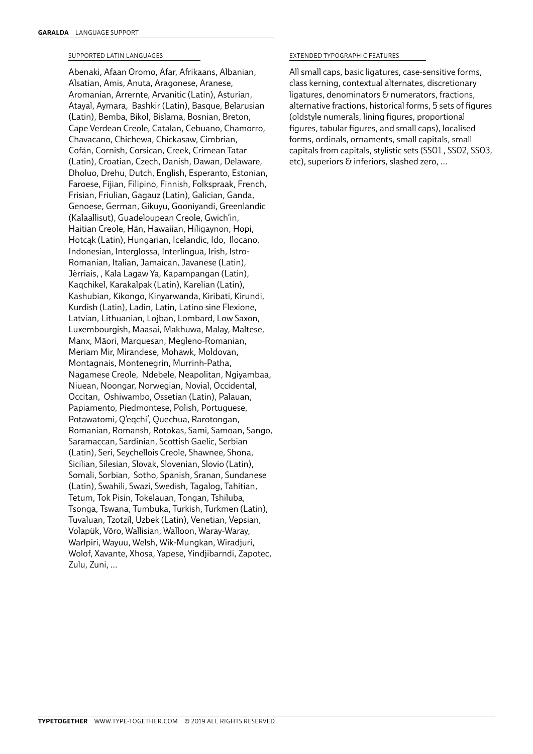### SUPPORTED LATIN LANGUAGES

Abenaki, Afaan Oromo, Afar, Afrikaans, Albanian, Alsatian, Amis, Anuta, Aragonese, Aranese, Aromanian, Arrernte, Arvanitic (Latin), Asturian, Atayal, Aymara, Bashkir (Latin), Basque, Belarusian (Latin), Bemba, Bikol, Bislama, Bosnian, Breton, Cape Verdean Creole, Catalan, Cebuano, Chamorro, Chavacano, Chichewa, Chickasaw, Cimbrian, Cofán, Cornish, Corsican, Creek, Crimean Tatar (Latin), Croatian, Czech, Danish, Dawan, Delaware, Dholuo, Drehu, Dutch, English, Esperanto, Estonian, Faroese, Fijian, Filipino, Finnish, Folkspraak, French, Frisian, Friulian, Gagauz (Latin), Galician, Ganda, Genoese, German, Gikuyu, Gooniyandi, Greenlandic (Kalaallisut), Guadeloupean Creole, Gwich'in, Haitian Creole, Hän, Hawaiian, Hiligaynon, Hopi, Hotcąk (Latin), Hungarian, Icelandic, Ido, Ilocano, Indonesian, Interglossa, Interlingua, Irish, Istro-Romanian, Italian, Jamaican, Javanese (Latin), Jèrriais, , Kala Lagaw Ya, Kapampangan (Latin), Kaqchikel, Karakalpak (Latin), Karelian (Latin), Kashubian, Kikongo, Kinyarwanda, Kiribati, Kirundi, Kurdish (Latin), Ladin, Latin, Latino sine Flexione, Latvian, Lithuanian, Lojban, Lombard, Low Saxon, Luxembourgish, Maasai, Makhuwa, Malay, Maltese, Manx, Māori, Marquesan, Megleno-Romanian, Meriam Mir, Mirandese, Mohawk, Moldovan, Montagnais, Montenegrin, Murrinh-Patha, Nagamese Creole, Ndebele, Neapolitan, Ngiyambaa, Niuean, Noongar, Norwegian, Novial, Occidental, Occitan, Oshiwambo, Ossetian (Latin), Palauan, Papiamento, Piedmontese, Polish, Portuguese, Potawatomi, Q'eqchi', Quechua, Rarotongan, Romanian, Romansh, Rotokas, Sami, Samoan, Sango, Saramaccan, Sardinian, Scottish Gaelic, Serbian (Latin), Seri, Seychellois Creole, Shawnee, Shona, Sicilian, Silesian, Slovak, Slovenian, Slovio (Latin), Somali, Sorbian, Sotho, Spanish, Sranan, Sundanese (Latin), Swahili, Swazi, Swedish, Tagalog, Tahitian, Tetum, Tok Pisin, Tokelauan, Tongan, Tshiluba, Tsonga, Tswana, Tumbuka, Turkish, Turkmen (Latin), Tuvaluan, Tzotzil, Uzbek (Latin), Venetian, Vepsian, Volapük, Võro, Wallisian, Walloon, Waray-Waray, Warlpiri, Wayuu, Welsh, Wik-Mungkan, Wiradjuri, Wolof, Xavante, Xhosa, Yapese, Yindjibarndi, Zapotec, Zulu, Zuni, …

### EXTENDED TYPOGRAPHIC FEATURES

All small caps, basic ligatures, case-sensitive forms, class kerning, contextual alternates, discretionary ligatures, denominators & numerators, fractions, alternative fractions, historical forms, 5 sets of figures (oldstyle numerals, lining figures, proportional figures, tabular figures, and small caps), localised forms, ordinals, ornaments, small capitals, small capitals from capitals, stylistic sets (SS01 , SS02, SS03, etc), superiors & inferiors, slashed zero, …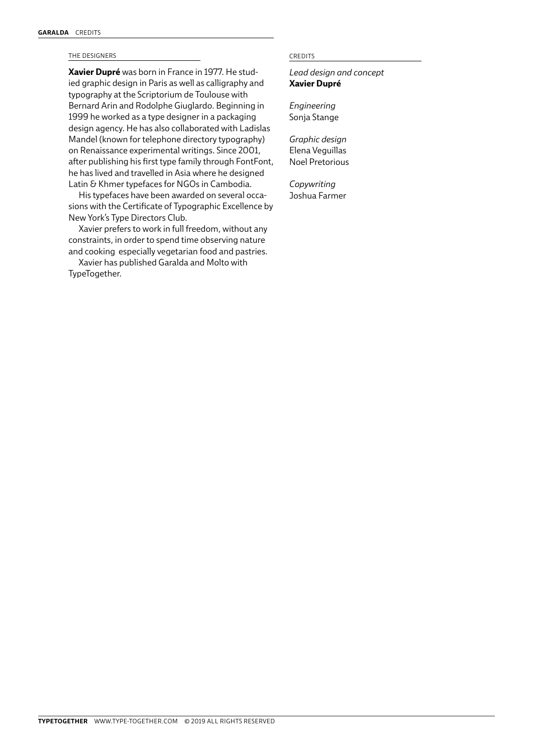### THE DESIGNERS CREDITS

**Xavier Dupré** was born in France in 1977. He studied graphic design in Paris as well as calligraphy and typography at the Scriptorium de Toulouse with Bernard Arin and Rodolphe Giuglardo. Beginning in 1999 he worked as a type designer in a packaging design agency. He has also collaborated with Ladislas Mandel (known for telephone directory typography) on Renaissance experimental writings. Since 2001, after publishing his first type family through FontFont, he has lived and travelled in Asia where he designed Latin & Khmer typefaces for NGOs in Cambodia.

His typefaces have been awarded on several occasions with the Certificate of Typographic Excellence by New York's Type Directors Club.

Xavier prefers to work in full freedom, without any constraints, in order to spend time observing nature and cooking especially vegetarian food and pastries.

Xavier has published Garalda and Molto with TypeTogether.

*Lead design and concept* **Xavier Dupré**

*Engineering* Sonja Stange

*Graphic design* Elena Veguillas Noel Pretorious

*Copywriting* Joshua Farmer